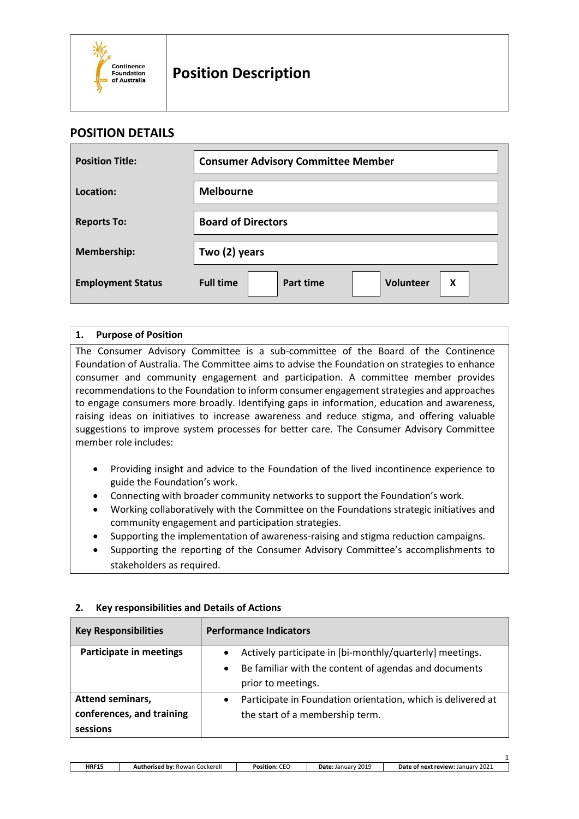

### **POSITION DETAILS**

| <b>Position Title:</b>   | <b>Consumer Advisory Committee Member</b>       |  |  |  |
|--------------------------|-------------------------------------------------|--|--|--|
| Location:                | <b>Melbourne</b>                                |  |  |  |
| <b>Reports To:</b>       | <b>Board of Directors</b>                       |  |  |  |
| Membership:              | Two (2) years                                   |  |  |  |
| <b>Employment Status</b> | <b>Full time</b><br>Part time<br>Volunteer<br>X |  |  |  |

#### **1. Purpose of Position**

The Consumer Advisory Committee is a sub-committee of the Board of the Continence Foundation of Australia. The Committee aims to advise the Foundation on strategies to enhance consumer and community engagement and participation. A committee member provides recommendations to the Foundation to inform consumer engagement strategies and approaches to engage consumers more broadly. Identifying gaps in information, education and awareness, raising ideas on initiatives to increase awareness and reduce stigma, and offering valuable suggestions to improve system processes for better care. The Consumer Advisory Committee member role includes:

- Providing insight and advice to the Foundation of the lived incontinence experience to guide the Foundation's work.
- Connecting with broader community networks to support the Foundation's work.
- Working collaboratively with the Committee on the Foundations strategic initiatives and community engagement and participation strategies.
- Supporting the implementation of awareness-raising and stigma reduction campaigns.
- Supporting the reporting of the Consumer Advisory Committee's accomplishments to stakeholders as required.

| <b>Key Responsibilities</b>    | <b>Performance Indicators</b>                                             |  |  |  |
|--------------------------------|---------------------------------------------------------------------------|--|--|--|
| <b>Participate in meetings</b> | Actively participate in [bi-monthly/quarterly] meetings.<br>$\bullet$     |  |  |  |
|                                | Be familiar with the content of agendas and documents<br>$\bullet$        |  |  |  |
|                                | prior to meetings.                                                        |  |  |  |
| <b>Attend seminars,</b>        | Participate in Foundation orientation, which is delivered at<br>$\bullet$ |  |  |  |
| conferences, and training      | the start of a membership term.                                           |  |  |  |
| sessions                       |                                                                           |  |  |  |

#### **2. Key responsibilities and Details of Actions**

1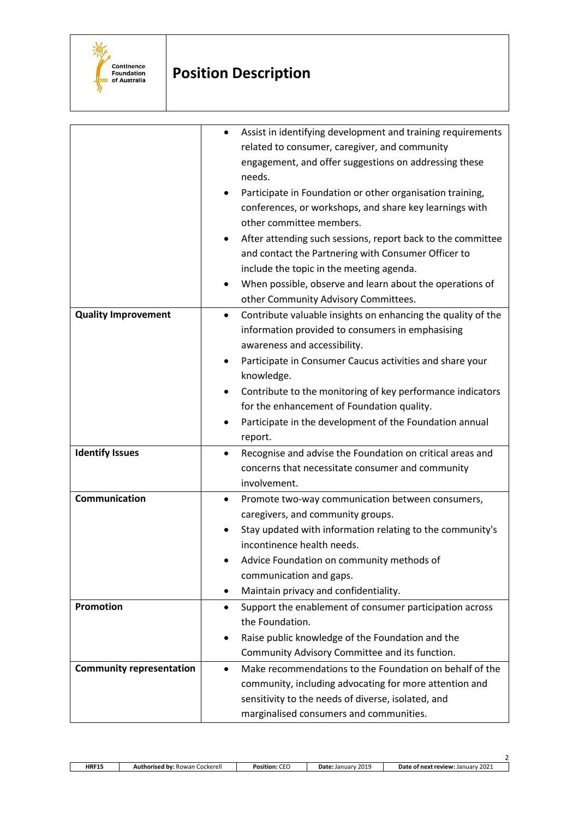

# **Position Description**

| <b>Quality Improvement</b>      | Assist in identifying development and training requirements<br>related to consumer, caregiver, and community<br>engagement, and offer suggestions on addressing these<br>needs.<br>Participate in Foundation or other organisation training,<br>conferences, or workshops, and share key learnings with<br>other committee members.<br>After attending such sessions, report back to the committee<br>and contact the Partnering with Consumer Officer to<br>include the topic in the meeting agenda.<br>When possible, observe and learn about the operations of<br>other Community Advisory Committees.<br>Contribute valuable insights on enhancing the quality of the<br>$\bullet$ |
|---------------------------------|----------------------------------------------------------------------------------------------------------------------------------------------------------------------------------------------------------------------------------------------------------------------------------------------------------------------------------------------------------------------------------------------------------------------------------------------------------------------------------------------------------------------------------------------------------------------------------------------------------------------------------------------------------------------------------------|
|                                 | information provided to consumers in emphasising                                                                                                                                                                                                                                                                                                                                                                                                                                                                                                                                                                                                                                       |
|                                 | awareness and accessibility.                                                                                                                                                                                                                                                                                                                                                                                                                                                                                                                                                                                                                                                           |
|                                 | Participate in Consumer Caucus activities and share your<br>knowledge.                                                                                                                                                                                                                                                                                                                                                                                                                                                                                                                                                                                                                 |
|                                 | Contribute to the monitoring of key performance indicators                                                                                                                                                                                                                                                                                                                                                                                                                                                                                                                                                                                                                             |
|                                 | for the enhancement of Foundation quality.                                                                                                                                                                                                                                                                                                                                                                                                                                                                                                                                                                                                                                             |
|                                 | Participate in the development of the Foundation annual                                                                                                                                                                                                                                                                                                                                                                                                                                                                                                                                                                                                                                |
|                                 | report.                                                                                                                                                                                                                                                                                                                                                                                                                                                                                                                                                                                                                                                                                |
| <b>Identify Issues</b>          | Recognise and advise the Foundation on critical areas and                                                                                                                                                                                                                                                                                                                                                                                                                                                                                                                                                                                                                              |
|                                 | concerns that necessitate consumer and community                                                                                                                                                                                                                                                                                                                                                                                                                                                                                                                                                                                                                                       |
|                                 | involvement.                                                                                                                                                                                                                                                                                                                                                                                                                                                                                                                                                                                                                                                                           |
| Communication                   | Promote two-way communication between consumers,<br>$\bullet$                                                                                                                                                                                                                                                                                                                                                                                                                                                                                                                                                                                                                          |
|                                 | caregivers, and community groups.                                                                                                                                                                                                                                                                                                                                                                                                                                                                                                                                                                                                                                                      |
|                                 | Stay updated with information relating to the community's                                                                                                                                                                                                                                                                                                                                                                                                                                                                                                                                                                                                                              |
|                                 | incontinence health needs.                                                                                                                                                                                                                                                                                                                                                                                                                                                                                                                                                                                                                                                             |
|                                 | Advice Foundation on community methods of                                                                                                                                                                                                                                                                                                                                                                                                                                                                                                                                                                                                                                              |
|                                 | communication and gaps.                                                                                                                                                                                                                                                                                                                                                                                                                                                                                                                                                                                                                                                                |
|                                 | Maintain privacy and confidentiality.<br>$\bullet$                                                                                                                                                                                                                                                                                                                                                                                                                                                                                                                                                                                                                                     |
| Promotion                       | Support the enablement of consumer participation across<br>٠                                                                                                                                                                                                                                                                                                                                                                                                                                                                                                                                                                                                                           |
|                                 | the Foundation.                                                                                                                                                                                                                                                                                                                                                                                                                                                                                                                                                                                                                                                                        |
|                                 | Raise public knowledge of the Foundation and the<br>٠                                                                                                                                                                                                                                                                                                                                                                                                                                                                                                                                                                                                                                  |
|                                 | Community Advisory Committee and its function.                                                                                                                                                                                                                                                                                                                                                                                                                                                                                                                                                                                                                                         |
| <b>Community representation</b> | Make recommendations to the Foundation on behalf of the<br>$\bullet$                                                                                                                                                                                                                                                                                                                                                                                                                                                                                                                                                                                                                   |
|                                 | community, including advocating for more attention and<br>sensitivity to the needs of diverse, isolated, and                                                                                                                                                                                                                                                                                                                                                                                                                                                                                                                                                                           |
|                                 | marginalised consumers and communities.                                                                                                                                                                                                                                                                                                                                                                                                                                                                                                                                                                                                                                                |
|                                 |                                                                                                                                                                                                                                                                                                                                                                                                                                                                                                                                                                                                                                                                                        |

 $\overline{2}$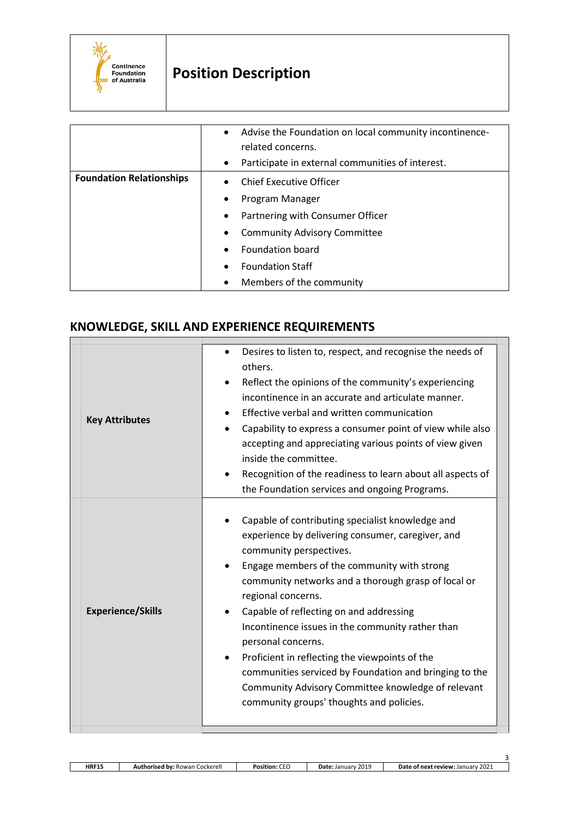

# **Position Description**

|                                 | Advise the Foundation on local community incontinence-<br>$\bullet$<br>related concerns. |
|---------------------------------|------------------------------------------------------------------------------------------|
|                                 | Participate in external communities of interest.<br>$\bullet$                            |
| <b>Foundation Relationships</b> | <b>Chief Executive Officer</b><br>$\bullet$                                              |
|                                 | Program Manager<br>$\bullet$                                                             |
|                                 | Partnering with Consumer Officer<br>٠                                                    |
|                                 | <b>Community Advisory Committee</b><br>$\bullet$                                         |
|                                 | Foundation board<br>$\bullet$                                                            |
|                                 | <b>Foundation Staff</b><br>$\bullet$                                                     |
|                                 | Members of the community<br>$\bullet$                                                    |

# **KNOWLEDGE, SKILL AND EXPERIENCE REQUIREMENTS**

| <b>Key Attributes</b>    | Desires to listen to, respect, and recognise the needs of<br>others.<br>Reflect the opinions of the community's experiencing<br>incontinence in an accurate and articulate manner.<br>Effective verbal and written communication<br>Capability to express a consumer point of view while also<br>$\bullet$<br>accepting and appreciating various points of view given<br>inside the committee.<br>Recognition of the readiness to learn about all aspects of<br>the Foundation services and ongoing Programs.                                                                                   |
|--------------------------|-------------------------------------------------------------------------------------------------------------------------------------------------------------------------------------------------------------------------------------------------------------------------------------------------------------------------------------------------------------------------------------------------------------------------------------------------------------------------------------------------------------------------------------------------------------------------------------------------|
| <b>Experience/Skills</b> | Capable of contributing specialist knowledge and<br>experience by delivering consumer, caregiver, and<br>community perspectives.<br>Engage members of the community with strong<br>community networks and a thorough grasp of local or<br>regional concerns.<br>Capable of reflecting on and addressing<br>Incontinence issues in the community rather than<br>personal concerns.<br>Proficient in reflecting the viewpoints of the<br>communities serviced by Foundation and bringing to the<br>Community Advisory Committee knowledge of relevant<br>community groups' thoughts and policies. |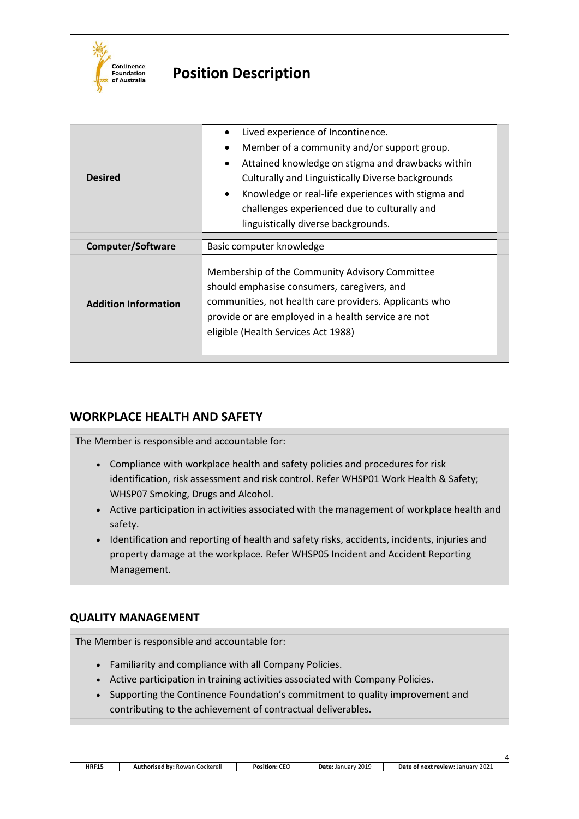

# **Position Description**

| <b>Desired</b>              | Lived experience of Incontinence.<br>Member of a community and/or support group.<br>Attained knowledge on stigma and drawbacks within<br>Culturally and Linguistically Diverse backgrounds<br>Knowledge or real-life experiences with stigma and<br>$\bullet$<br>challenges experienced due to culturally and<br>linguistically diverse backgrounds. |  |  |  |  |
|-----------------------------|------------------------------------------------------------------------------------------------------------------------------------------------------------------------------------------------------------------------------------------------------------------------------------------------------------------------------------------------------|--|--|--|--|
| <b>Computer/Software</b>    | Basic computer knowledge                                                                                                                                                                                                                                                                                                                             |  |  |  |  |
| <b>Addition Information</b> | Membership of the Community Advisory Committee<br>should emphasise consumers, caregivers, and<br>communities, not health care providers. Applicants who<br>provide or are employed in a health service are not<br>eligible (Health Services Act 1988)                                                                                                |  |  |  |  |

## **WORKPLACE HEALTH AND SAFETY**

The Member is responsible and accountable for:

- Compliance with workplace health and safety policies and procedures for risk identification, risk assessment and risk control. Refer WHSP01 Work Health & Safety; WHSP07 Smoking, Drugs and Alcohol.
- Active participation in activities associated with the management of workplace health and safety.
- Identification and reporting of health and safety risks, accidents, incidents, injuries and property damage at the workplace. Refer WHSP05 Incident and Accident Reporting Management.

### **QUALITY MANAGEMENT**

The Member is responsible and accountable for:

- Familiarity and compliance with all Company Policies.
- Active participation in training activities associated with Company Policies.
- Supporting the Continence Foundation's commitment to quality improvement and contributing to the achievement of contractual deliverables.

| <b>HRF15</b> | Cockerell<br>∍a hv•⊺<br>Rowan<br>.nricod<br>Aut | $ -$<br>Position.<br>◡└ | 201C<br>January<br>Date:<br>201- | 2021<br>e of next<br>review:<br>. Januarv<br>Date |
|--------------|-------------------------------------------------|-------------------------|----------------------------------|---------------------------------------------------|

4